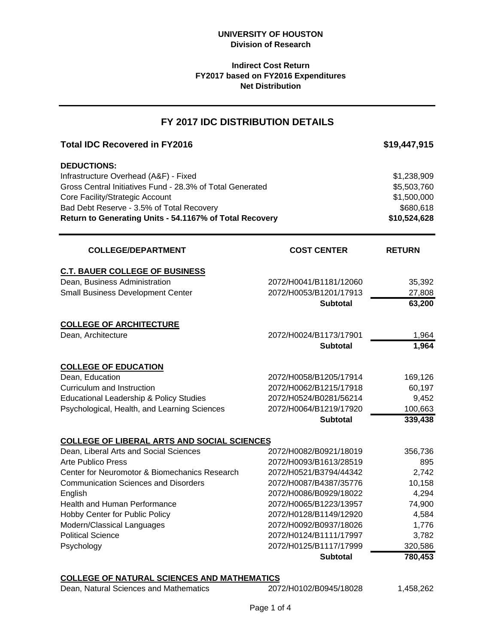### **Indirect Cost Return FY2017 based on FY2016 Expenditures Net Distribution**

# **FY 2017 IDC DISTRIBUTION DETAILS**

| <b>Total IDC Recovered in FY2016</b>                                                                                                                                                                                                                                |                                                  | \$19,447,915                                                           |
|---------------------------------------------------------------------------------------------------------------------------------------------------------------------------------------------------------------------------------------------------------------------|--------------------------------------------------|------------------------------------------------------------------------|
| <b>DEDUCTIONS:</b><br>Infrastructure Overhead (A&F) - Fixed<br>Gross Central Initiatives Fund - 28.3% of Total Generated<br>Core Facility/Strategic Account<br>Bad Debt Reserve - 3.5% of Total Recovery<br>Return to Generating Units - 54.1167% of Total Recovery |                                                  | \$1,238,909<br>\$5,503,760<br>\$1,500,000<br>\$680,618<br>\$10,524,628 |
| <b>COLLEGE/DEPARTMENT</b>                                                                                                                                                                                                                                           | <b>COST CENTER</b>                               | <b>RETURN</b>                                                          |
| <b>C.T. BAUER COLLEGE OF BUSINESS</b>                                                                                                                                                                                                                               |                                                  |                                                                        |
| Dean, Business Administration                                                                                                                                                                                                                                       | 2072/H0041/B1181/12060                           | 35,392                                                                 |
| <b>Small Business Development Center</b>                                                                                                                                                                                                                            | 2072/H0053/B1201/17913                           | 27,808                                                                 |
|                                                                                                                                                                                                                                                                     | <b>Subtotal</b>                                  | 63,200                                                                 |
| <b>COLLEGE OF ARCHITECTURE</b>                                                                                                                                                                                                                                      |                                                  |                                                                        |
| Dean, Architecture                                                                                                                                                                                                                                                  | 2072/H0024/B1173/17901                           | 1,964                                                                  |
|                                                                                                                                                                                                                                                                     | <b>Subtotal</b>                                  | 1,964                                                                  |
| <b>COLLEGE OF EDUCATION</b>                                                                                                                                                                                                                                         |                                                  |                                                                        |
| Dean, Education                                                                                                                                                                                                                                                     | 2072/H0058/B1205/17914                           | 169,126                                                                |
| Curriculum and Instruction                                                                                                                                                                                                                                          | 2072/H0062/B1215/17918                           | 60,197                                                                 |
| Educational Leadership & Policy Studies                                                                                                                                                                                                                             | 2072/H0524/B0281/56214                           | 9,452                                                                  |
| Psychological, Health, and Learning Sciences                                                                                                                                                                                                                        | 2072/H0064/B1219/17920                           | 100,663                                                                |
|                                                                                                                                                                                                                                                                     | <b>Subtotal</b>                                  | 339,438                                                                |
| <b>COLLEGE OF LIBERAL ARTS AND SOCIAL SCIENCES</b>                                                                                                                                                                                                                  |                                                  |                                                                        |
| Dean, Liberal Arts and Social Sciences                                                                                                                                                                                                                              | 2072/H0082/B0921/18019                           | 356,736                                                                |
| <b>Arte Publico Press</b>                                                                                                                                                                                                                                           | 2072/H0093/B1613/28519                           | 895                                                                    |
| Center for Neuromotor & Biomechanics Research                                                                                                                                                                                                                       | 2072/H0521/B3794/44342                           | 2,742                                                                  |
| <b>Communication Sciences and Disorders</b>                                                                                                                                                                                                                         | 2072/H0087/B4387/35776                           | 10,158                                                                 |
| English                                                                                                                                                                                                                                                             | 2072/H0086/B0929/18022                           | 4,294                                                                  |
| Health and Human Performance                                                                                                                                                                                                                                        | 2072/H0065/B1223/13957                           | 74,900                                                                 |
| Hobby Center for Public Policy                                                                                                                                                                                                                                      | 2072/H0128/B1149/12920                           | 4,584                                                                  |
| Modern/Classical Languages<br><b>Political Science</b>                                                                                                                                                                                                              | 2072/H0092/B0937/18026                           | 1,776                                                                  |
|                                                                                                                                                                                                                                                                     | 2072/H0124/B1111/17997<br>2072/H0125/B1117/17999 | 3,782                                                                  |
| Psychology                                                                                                                                                                                                                                                          | <b>Subtotal</b>                                  | 320,586<br>780,453                                                     |
| <b>COLLEGE OF NATURAL SCIENCES AND MATHEMATICS</b>                                                                                                                                                                                                                  |                                                  |                                                                        |
|                                                                                                                                                                                                                                                                     |                                                  |                                                                        |

Dean, Natural Sciences and Mathematics 2072/H0102/B0945/18028 1,458,262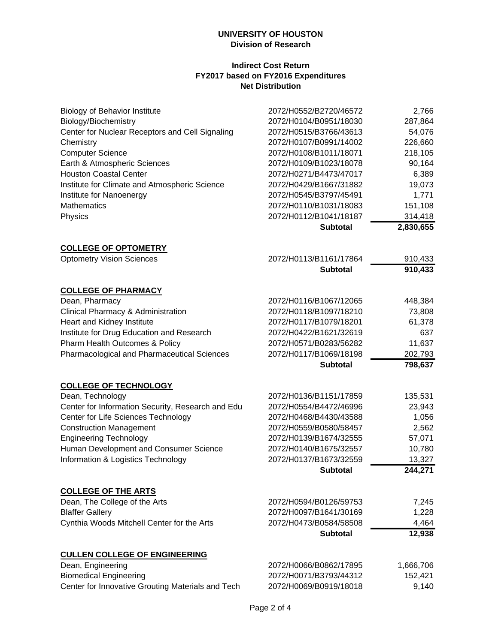### **UNIVERSITY OF HOUSTON Division of Research**

### **Indirect Cost Return FY2017 based on FY2016 Expenditures Net Distribution**

| <b>Biology of Behavior Institute</b><br>Biology/Biochemistry<br>Center for Nuclear Receptors and Cell Signaling<br>Chemistry<br><b>Computer Science</b><br>Earth & Atmospheric Sciences<br><b>Houston Coastal Center</b><br>Institute for Climate and Atmospheric Science<br>Institute for Nanoenergy<br><b>Mathematics</b><br>Physics | 2072/H0552/B2720/46572<br>2072/H0104/B0951/18030<br>2072/H0515/B3766/43613<br>2072/H0107/B0991/14002<br>2072/H0108/B1011/18071<br>2072/H0109/B1023/18078<br>2072/H0271/B4473/47017<br>2072/H0429/B1667/31882<br>2072/H0545/B3797/45491<br>2072/H0110/B1031/18083<br>2072/H0112/B1041/18187 | 2,766<br>287,864<br>54,076<br>226,660<br>218,105<br>90,164<br>6,389<br>19,073<br>1,771<br>151,108<br>314,418 |
|----------------------------------------------------------------------------------------------------------------------------------------------------------------------------------------------------------------------------------------------------------------------------------------------------------------------------------------|--------------------------------------------------------------------------------------------------------------------------------------------------------------------------------------------------------------------------------------------------------------------------------------------|--------------------------------------------------------------------------------------------------------------|
|                                                                                                                                                                                                                                                                                                                                        | <b>Subtotal</b>                                                                                                                                                                                                                                                                            | 2,830,655                                                                                                    |
| <b>COLLEGE OF OPTOMETRY</b>                                                                                                                                                                                                                                                                                                            |                                                                                                                                                                                                                                                                                            |                                                                                                              |
| <b>Optometry Vision Sciences</b>                                                                                                                                                                                                                                                                                                       | 2072/H0113/B1161/17864<br><b>Subtotal</b>                                                                                                                                                                                                                                                  | 910,433<br>910,433                                                                                           |
| <b>COLLEGE OF PHARMACY</b>                                                                                                                                                                                                                                                                                                             |                                                                                                                                                                                                                                                                                            |                                                                                                              |
| Dean, Pharmacy                                                                                                                                                                                                                                                                                                                         | 2072/H0116/B1067/12065                                                                                                                                                                                                                                                                     | 448,384                                                                                                      |
| Clinical Pharmacy & Administration                                                                                                                                                                                                                                                                                                     | 2072/H0118/B1097/18210                                                                                                                                                                                                                                                                     | 73,808                                                                                                       |
| Heart and Kidney Institute                                                                                                                                                                                                                                                                                                             | 2072/H0117/B1079/18201                                                                                                                                                                                                                                                                     | 61,378                                                                                                       |
| Institute for Drug Education and Research                                                                                                                                                                                                                                                                                              | 2072/H0422/B1621/32619                                                                                                                                                                                                                                                                     | 637                                                                                                          |
| Pharm Health Outcomes & Policy                                                                                                                                                                                                                                                                                                         | 2072/H0571/B0283/56282                                                                                                                                                                                                                                                                     | 11,637                                                                                                       |
| Pharmacological and Pharmaceutical Sciences                                                                                                                                                                                                                                                                                            | 2072/H0117/B1069/18198                                                                                                                                                                                                                                                                     | 202,793                                                                                                      |
|                                                                                                                                                                                                                                                                                                                                        | <b>Subtotal</b>                                                                                                                                                                                                                                                                            | 798,637                                                                                                      |
| <b>COLLEGE OF TECHNOLOGY</b>                                                                                                                                                                                                                                                                                                           |                                                                                                                                                                                                                                                                                            |                                                                                                              |
| Dean, Technology                                                                                                                                                                                                                                                                                                                       | 2072/H0136/B1151/17859                                                                                                                                                                                                                                                                     | 135,531                                                                                                      |
| Center for Information Security, Research and Edu                                                                                                                                                                                                                                                                                      | 2072/H0554/B4472/46996                                                                                                                                                                                                                                                                     | 23,943                                                                                                       |
| Center for Life Sciences Technology                                                                                                                                                                                                                                                                                                    | 2072/H0468/B4430/43588                                                                                                                                                                                                                                                                     | 1,056                                                                                                        |
| <b>Construction Management</b>                                                                                                                                                                                                                                                                                                         | 2072/H0559/B0580/58457                                                                                                                                                                                                                                                                     | 2,562                                                                                                        |
| <b>Engineering Technology</b>                                                                                                                                                                                                                                                                                                          | 2072/H0139/B1674/32555                                                                                                                                                                                                                                                                     | 57,071                                                                                                       |
| Human Development and Consumer Science                                                                                                                                                                                                                                                                                                 | 2072/H0140/B1675/32557                                                                                                                                                                                                                                                                     | 10,780                                                                                                       |
| Information & Logistics Technology                                                                                                                                                                                                                                                                                                     | 2072/H0137/B1673/32559                                                                                                                                                                                                                                                                     | 13,327                                                                                                       |
|                                                                                                                                                                                                                                                                                                                                        | <b>Subtotal</b>                                                                                                                                                                                                                                                                            | 244,271                                                                                                      |
| <b>COLLEGE OF THE ARTS</b>                                                                                                                                                                                                                                                                                                             |                                                                                                                                                                                                                                                                                            |                                                                                                              |
| Dean, The College of the Arts                                                                                                                                                                                                                                                                                                          | 2072/H0594/B0126/59753                                                                                                                                                                                                                                                                     | 7,245                                                                                                        |
| <b>Blaffer Gallery</b>                                                                                                                                                                                                                                                                                                                 | 2072/H0097/B1641/30169                                                                                                                                                                                                                                                                     | 1,228                                                                                                        |
| Cynthia Woods Mitchell Center for the Arts                                                                                                                                                                                                                                                                                             | 2072/H0473/B0584/58508                                                                                                                                                                                                                                                                     | 4,464                                                                                                        |
|                                                                                                                                                                                                                                                                                                                                        | <b>Subtotal</b>                                                                                                                                                                                                                                                                            | 12,938                                                                                                       |
| <b>CULLEN COLLEGE OF ENGINEERING</b>                                                                                                                                                                                                                                                                                                   |                                                                                                                                                                                                                                                                                            |                                                                                                              |
| Dean, Engineering                                                                                                                                                                                                                                                                                                                      | 2072/H0066/B0862/17895                                                                                                                                                                                                                                                                     | 1,666,706                                                                                                    |
| <b>Biomedical Engineering</b>                                                                                                                                                                                                                                                                                                          | 2072/H0071/B3793/44312                                                                                                                                                                                                                                                                     | 152,421                                                                                                      |
| Center for Innovative Grouting Materials and Tech                                                                                                                                                                                                                                                                                      | 2072/H0069/B0919/18018                                                                                                                                                                                                                                                                     | 9,140                                                                                                        |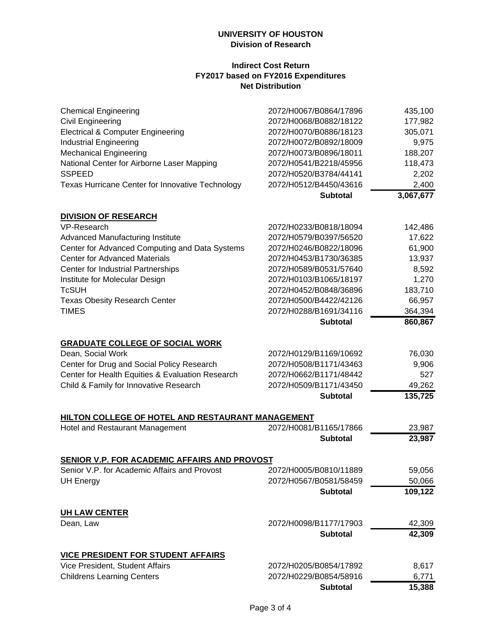### **UNIVERSITY OF HOUSTON Division of Research**

#### **Indirect Cost Return FY2017 based on FY2016 Expenditures Net Distribution**

| <b>Chemical Engineering</b>                         | 2072/H0067/B0864/17896 | 435,100   |
|-----------------------------------------------------|------------------------|-----------|
| <b>Civil Engineering</b>                            | 2072/H0068/B0882/18122 | 177,982   |
| <b>Electrical &amp; Computer Engineering</b>        | 2072/H0070/B0886/18123 | 305,071   |
| <b>Industrial Engineering</b>                       | 2072/H0072/B0892/18009 | 9,975     |
| <b>Mechanical Engineering</b>                       | 2072/H0073/B0896/18011 | 188,207   |
| National Center for Airborne Laser Mapping          | 2072/H0541/B2218/45956 | 118,473   |
| <b>SSPEED</b>                                       | 2072/H0520/B3784/44141 | 2,202     |
| Texas Hurricane Center for Innovative Technology    | 2072/H0512/B4450/43616 | 2,400     |
|                                                     | <b>Subtotal</b>        | 3,067,677 |
| <b>DIVISION OF RESEARCH</b>                         |                        |           |
| VP-Research                                         | 2072/H0233/B0818/18094 | 142,486   |
| Advanced Manufacturing Institute                    | 2072/H0579/B0397/56520 | 17,622    |
| Center for Advanced Computing and Data Systems      | 2072/H0246/B0822/18096 | 61,900    |
| <b>Center for Advanced Materials</b>                | 2072/H0453/B1730/36385 | 13,937    |
| Center for Industrial Partnerships                  | 2072/H0589/B0531/57640 | 8,592     |
| Institute for Molecular Design                      | 2072/H0103/B1065/18197 | 1,270     |
| <b>TcSUH</b>                                        | 2072/H0452/B0848/36896 | 183,710   |
| <b>Texas Obesity Research Center</b>                | 2072/H0500/B4422/42126 | 66,957    |
| <b>TIMES</b>                                        | 2072/H0288/B1691/34116 | 364,394   |
|                                                     | <b>Subtotal</b>        | 860,867   |
| <b>GRADUATE COLLEGE OF SOCIAL WORK</b>              |                        |           |
| Dean, Social Work                                   | 2072/H0129/B1169/10692 | 76,030    |
| Center for Drug and Social Policy Research          | 2072/H0508/B1171/43463 | 9,906     |
| Center for Health Equities & Evaluation Research    | 2072/H0662/B1171/48442 | 527       |
| Child & Family for Innovative Research              | 2072/H0509/B1171/43450 | 49,262    |
|                                                     | <b>Subtotal</b>        | 135,725   |
| HILTON COLLEGE OF HOTEL AND RESTAURANT MANAGEMENT   |                        |           |
| Hotel and Restaurant Management                     | 2072/H0081/B1165/17866 | 23,987    |
|                                                     | <b>Subtotal</b>        | 23,987    |
| <b>SENIOR V.P. FOR ACADEMIC AFFAIRS AND PROVOST</b> |                        |           |
| Senior V.P. for Academic Affairs and Provost        | 2072/H0005/B0810/11889 | 59,056    |
| <b>UH Energy</b>                                    | 2072/H0567/B0581/58459 | 50,066    |
|                                                     | <b>Subtotal</b>        | 109,122   |
| <b>UH LAW CENTER</b>                                |                        |           |
| Dean, Law                                           | 2072/H0098/B1177/17903 | 42,309    |
|                                                     | <b>Subtotal</b>        | 42,309    |
| <b>VICE PRESIDENT FOR STUDENT AFFAIRS</b>           |                        |           |
| Vice President, Student Affairs                     | 2072/H0205/B0854/17892 | 8,617     |
| <b>Childrens Learning Centers</b>                   | 2072/H0229/B0854/58916 | 6,771     |
|                                                     | <b>Subtotal</b>        | 15,388    |